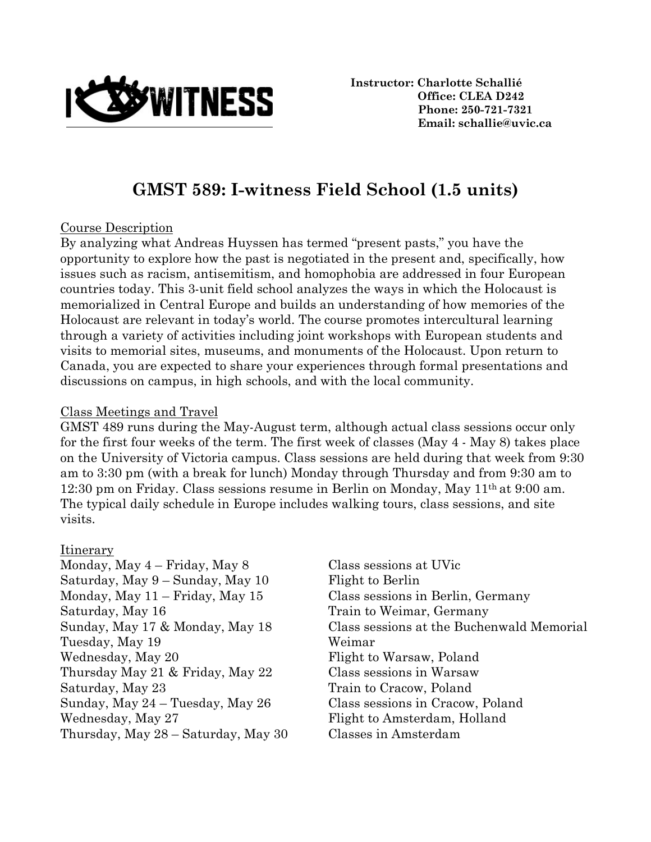

**Instructor: Charlotte Schallié Office: CLEA D242 Phone: 250-721-7321 Email: schallie@uvic.ca**

# **GMST 589: I-witness Field School (1.5 units)**

#### Course Description

By analyzing what Andreas Huyssen has termed "present pasts," you have the opportunity to explore how the past is negotiated in the present and, specifically, how issues such as racism, antisemitism, and homophobia are addressed in four European countries today. This 3-unit field school analyzes the ways in which the Holocaust is memorialized in Central Europe and builds an understanding of how memories of the Holocaust are relevant in today's world. The course promotes intercultural learning through a variety of activities including joint workshops with European students and visits to memorial sites, museums, and monuments of the Holocaust. Upon return to Canada, you are expected to share your experiences through formal presentations and discussions on campus, in high schools, and with the local community.

#### Class Meetings and Travel

GMST 489 runs during the May-August term, although actual class sessions occur only for the first four weeks of the term. The first week of classes (May 4 - May 8) takes place on the University of Victoria campus. Class sessions are held during that week from 9:30 am to 3:30 pm (with a break for lunch) Monday through Thursday and from 9:30 am to 12:30 pm on Friday. Class sessions resume in Berlin on Monday, May 11th at 9:00 am. The typical daily schedule in Europe includes walking tours, class sessions, and site visits.

#### Itinerary

Monday, May 4 – Friday, May 8 Class sessions at UVic Saturday, May 9 – Sunday, May 10 Flight to Berlin Monday, May 11 – Friday, May 15 Class sessions in Berlin, Germany Saturday, May 16 Train to Weimar, Germany Tuesday, May 19 Weimar Wednesday, May 20 Flight to Warsaw, Poland Thursday May 21 & Friday, May 22 Class sessions in Warsaw Saturday, May 23 Train to Cracow, Poland Sunday, May 24 – Tuesday, May 26 Class sessions in Cracow, Poland Wednesday, May 27 Flight to Amsterdam, Holland Thursday, May 28 – Saturday, May 30 Classes in Amsterdam

Sunday, May 17 & Monday, May 18 Class sessions at the Buchenwald Memorial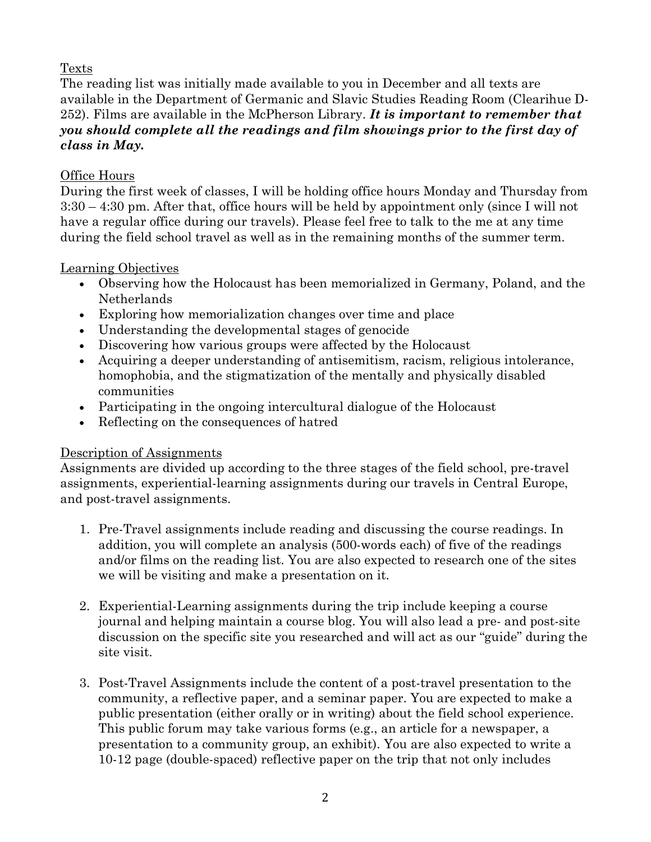# Texts

The reading list was initially made available to you in December and all texts are available in the Department of Germanic and Slavic Studies Reading Room (Clearihue D-252). Films are available in the McPherson Library. *It is important to remember that you should complete all the readings and film showings prior to the first day of class in May.* 

# Office Hours

During the first week of classes, I will be holding office hours Monday and Thursday from 3:30 – 4:30 pm. After that, office hours will be held by appointment only (since I will not have a regular office during our travels). Please feel free to talk to the me at any time during the field school travel as well as in the remaining months of the summer term.

## Learning Objectives

- Observing how the Holocaust has been memorialized in Germany, Poland, and the Netherlands
- Exploring how memorialization changes over time and place
- Understanding the developmental stages of genocide
- Discovering how various groups were affected by the Holocaust
- Acquiring a deeper understanding of antisemitism, racism, religious intolerance, homophobia, and the stigmatization of the mentally and physically disabled communities
- Participating in the ongoing intercultural dialogue of the Holocaust
- Reflecting on the consequences of hatred

## Description of Assignments

Assignments are divided up according to the three stages of the field school, pre-travel assignments, experiential-learning assignments during our travels in Central Europe, and post-travel assignments.

- 1. Pre-Travel assignments include reading and discussing the course readings. In addition, you will complete an analysis (500-words each) of five of the readings and/or films on the reading list. You are also expected to research one of the sites we will be visiting and make a presentation on it.
- 2. Experiential-Learning assignments during the trip include keeping a course journal and helping maintain a course blog. You will also lead a pre- and post-site discussion on the specific site you researched and will act as our "guide" during the site visit.
- 3. Post-Travel Assignments include the content of a post-travel presentation to the community, a reflective paper, and a seminar paper. You are expected to make a public presentation (either orally or in writing) about the field school experience. This public forum may take various forms (e.g., an article for a newspaper, a presentation to a community group, an exhibit). You are also expected to write a 10-12 page (double-spaced) reflective paper on the trip that not only includes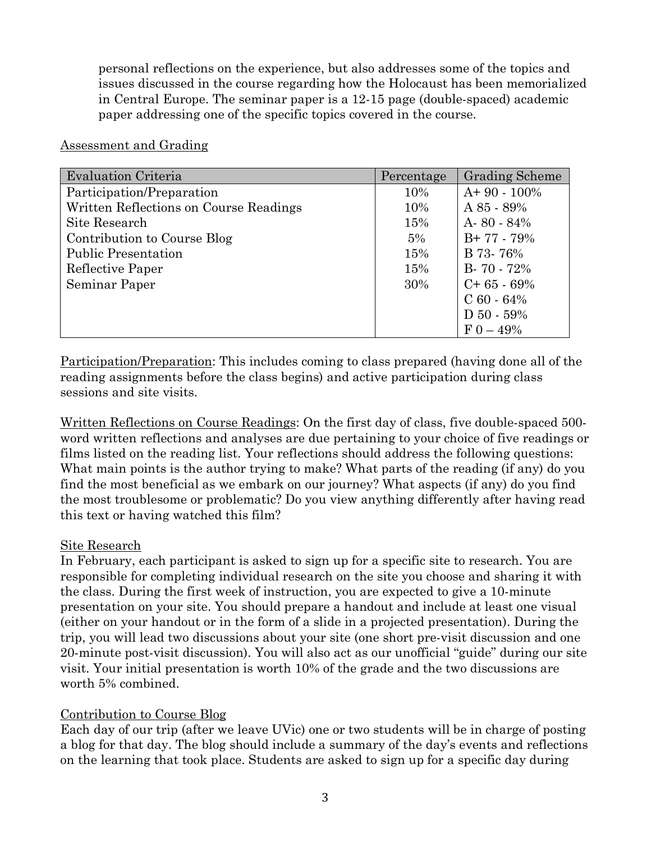personal reflections on the experience, but also addresses some of the topics and issues discussed in the course regarding how the Holocaust has been memorialized in Central Europe. The seminar paper is a 12-15 page (double-spaced) academic paper addressing one of the specific topics covered in the course.

| <b>Evaluation Criteria</b>             | Percentage | <b>Grading Scheme</b> |
|----------------------------------------|------------|-----------------------|
| Participation/Preparation              | 10%        | $A+90-100\%$          |
| Written Reflections on Course Readings | 10%        | $A85 - 89%$           |
| Site Research                          | 15%        | $A - 80 - 84\%$       |
| Contribution to Course Blog            | 5%         | $B+77-79\%$           |
| <b>Public Presentation</b>             | 15%        | B 73-76%              |
| Reflective Paper                       | 15%        | $B - 70 - 72%$        |
| Seminar Paper                          | 30%        | $C+65-69%$            |
|                                        |            | $C_60 - 64\%$         |
|                                        |            | $D 50 - 59%$          |
|                                        |            | $F_{0} - 49\%$        |

#### Assessment and Grading

Participation/Preparation: This includes coming to class prepared (having done all of the reading assignments before the class begins) and active participation during class sessions and site visits.

Written Reflections on Course Readings: On the first day of class, five double-spaced 500 word written reflections and analyses are due pertaining to your choice of five readings or films listed on the reading list. Your reflections should address the following questions: What main points is the author trying to make? What parts of the reading (if any) do you find the most beneficial as we embark on our journey? What aspects (if any) do you find the most troublesome or problematic? Do you view anything differently after having read this text or having watched this film?

#### Site Research

In February, each participant is asked to sign up for a specific site to research. You are responsible for completing individual research on the site you choose and sharing it with the class. During the first week of instruction, you are expected to give a 10-minute presentation on your site. You should prepare a handout and include at least one visual (either on your handout or in the form of a slide in a projected presentation). During the trip, you will lead two discussions about your site (one short pre-visit discussion and one 20-minute post-visit discussion). You will also act as our unofficial "guide" during our site visit. Your initial presentation is worth 10% of the grade and the two discussions are worth 5% combined.

## Contribution to Course Blog

Each day of our trip (after we leave UVic) one or two students will be in charge of posting a blog for that day. The blog should include a summary of the day's events and reflections on the learning that took place. Students are asked to sign up for a specific day during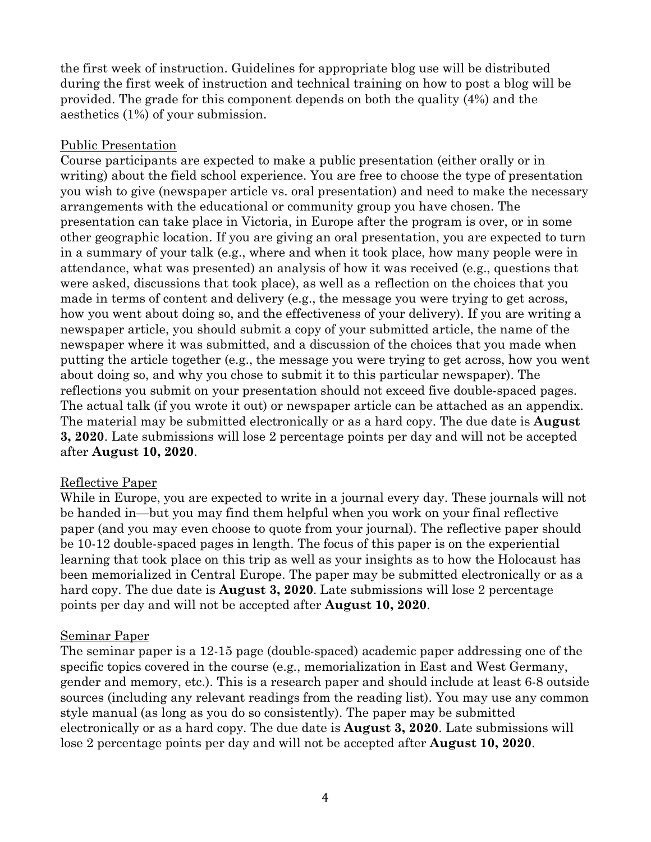the first week of instruction. Guidelines for appropriate blog use will be distributed during the first week of instruction and technical training on how to post a blog will be provided. The grade for this component depends on both the quality (4%) and the aesthetics (1%) of your submission.

## Public Presentation

Course participants are expected to make a public presentation (either orally or in writing) about the field school experience. You are free to choose the type of presentation you wish to give (newspaper article vs. oral presentation) and need to make the necessary arrangements with the educational or community group you have chosen. The presentation can take place in Victoria, in Europe after the program is over, or in some other geographic location. If you are giving an oral presentation, you are expected to turn in a summary of your talk (e.g., where and when it took place, how many people were in attendance, what was presented) an analysis of how it was received (e.g., questions that were asked, discussions that took place), as well as a reflection on the choices that you made in terms of content and delivery (e.g., the message you were trying to get across, how you went about doing so, and the effectiveness of your delivery). If you are writing a newspaper article, you should submit a copy of your submitted article, the name of the newspaper where it was submitted, and a discussion of the choices that you made when putting the article together (e.g., the message you were trying to get across, how you went about doing so, and why you chose to submit it to this particular newspaper). The reflections you submit on your presentation should not exceed five double-spaced pages. The actual talk (if you wrote it out) or newspaper article can be attached as an appendix. The material may be submitted electronically or as a hard copy. The due date is **August 3, 2020**. Late submissions will lose 2 percentage points per day and will not be accepted after **August 10, 2020**.

#### Reflective Paper

While in Europe, you are expected to write in a journal every day. These journals will not be handed in—but you may find them helpful when you work on your final reflective paper (and you may even choose to quote from your journal). The reflective paper should be 10-12 double-spaced pages in length. The focus of this paper is on the experiential learning that took place on this trip as well as your insights as to how the Holocaust has been memorialized in Central Europe. The paper may be submitted electronically or as a hard copy. The due date is **August 3, 2020**. Late submissions will lose 2 percentage points per day and will not be accepted after **August 10, 2020**.

#### Seminar Paper

The seminar paper is a 12-15 page (double-spaced) academic paper addressing one of the specific topics covered in the course (e.g., memorialization in East and West Germany, gender and memory, etc.). This is a research paper and should include at least 6-8 outside sources (including any relevant readings from the reading list). You may use any common style manual (as long as you do so consistently). The paper may be submitted electronically or as a hard copy. The due date is **August 3, 2020**. Late submissions will lose 2 percentage points per day and will not be accepted after **August 10, 2020**.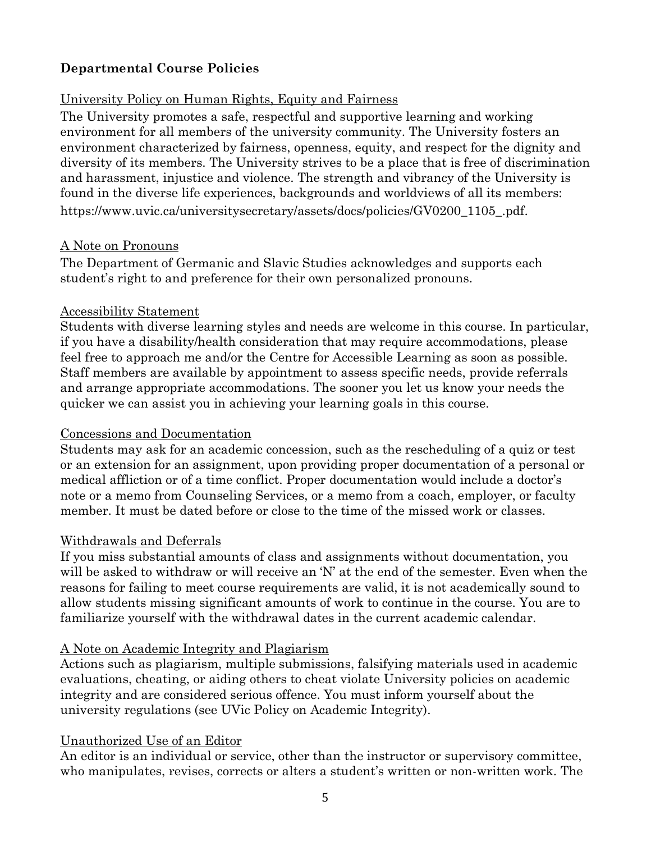# **Departmental Course Policies**

## University Policy on Human Rights, Equity and Fairness

The University promotes a safe, respectful and supportive learning and working environment for all members of the university community. The University fosters an environment characterized by fairness, openness, equity, and respect for the dignity and diversity of its members. The University strives to be a place that is free of discrimination and harassment, injustice and violence. The strength and vibrancy of the University is found in the diverse life experiences, backgrounds and worldviews of all its members: https://www.uvic.ca/universitysecretary/assets/docs/policies/GV0200\_1105\_.pdf.

#### A Note on Pronouns

The Department of Germanic and Slavic Studies acknowledges and supports each student's right to and preference for their own personalized pronouns.

#### Accessibility Statement

Students with diverse learning styles and needs are welcome in this course. In particular, if you have a disability/health consideration that may require accommodations, please feel free to approach me and/or the Centre for Accessible Learning as soon as possible. Staff members are available by appointment to assess specific needs, provide referrals and arrange appropriate accommodations. The sooner you let us know your needs the quicker we can assist you in achieving your learning goals in this course.

#### Concessions and Documentation

Students may ask for an academic concession, such as the rescheduling of a quiz or test or an extension for an assignment, upon providing proper documentation of a personal or medical affliction or of a time conflict. Proper documentation would include a doctor's note or a memo from Counseling Services, or a memo from a coach, employer, or faculty member. It must be dated before or close to the time of the missed work or classes.

#### Withdrawals and Deferrals

If you miss substantial amounts of class and assignments without documentation, you will be asked to withdraw or will receive an 'N' at the end of the semester. Even when the reasons for failing to meet course requirements are valid, it is not academically sound to allow students missing significant amounts of work to continue in the course. You are to familiarize yourself with the withdrawal dates in the current academic calendar.

#### A Note on Academic Integrity and Plagiarism

Actions such as plagiarism, multiple submissions, falsifying materials used in academic evaluations, cheating, or aiding others to cheat violate University policies on academic integrity and are considered serious offence. You must inform yourself about the university regulations (see UVic Policy on Academic Integrity).

#### Unauthorized Use of an Editor

An editor is an individual or service, other than the instructor or supervisory committee, who manipulates, revises, corrects or alters a student's written or non-written work. The